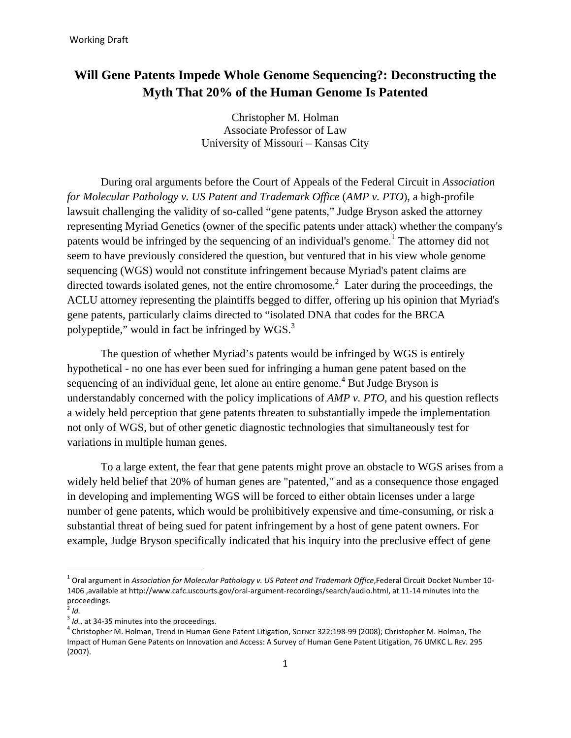# **Will Gene Patents Impede Whole Genome Sequencing?: Deconstructing the Myth That 20% of the Human Genome Is Patented**

Christopher M. Holman Associate Professor of Law University of Missouri – Kansas City

During oral arguments before the Court of Appeals of the Federal Circuit in *Association for Molecular Pathology v. US Patent and Trademark Office* (*AMP v. PTO*), a high-profile lawsuit challenging the validity of so-called "gene patents," Judge Bryson asked the attorney representing Myriad Genetics (owner of the specific patents under attack) whether the company's patents would be infringed by the sequencing of an individual's genome.<sup>1</sup> The attorney did not seem to have previously considered the question, but ventured that in his view whole genome sequencing (WGS) would not constitute infringement because Myriad's patent claims are directed towards isolated genes, not the entire chromosome.<sup>2</sup> Later during the proceedings, the ACLU attorney representing the plaintiffs begged to differ, offering up his opinion that Myriad's gene patents, particularly claims directed to "isolated DNA that codes for the BRCA polypeptide," would in fact be infringed by  $WGS$ .<sup>3</sup>

The question of whether Myriad's patents would be infringed by WGS is entirely hypothetical - no one has ever been sued for infringing a human gene patent based on the sequencing of an individual gene, let alone an entire genome.<sup>4</sup> But Judge Bryson is understandably concerned with the policy implications of *AMP v. PTO*, and his question reflects a widely held perception that gene patents threaten to substantially impede the implementation not only of WGS, but of other genetic diagnostic technologies that simultaneously test for variations in multiple human genes.

To a large extent, the fear that gene patents might prove an obstacle to WGS arises from a widely held belief that 20% of human genes are "patented," and as a consequence those engaged in developing and implementing WGS will be forced to either obtain licenses under a large number of gene patents, which would be prohibitively expensive and time-consuming, or risk a substantial threat of being sued for patent infringement by a host of gene patent owners. For example, Judge Bryson specifically indicated that his inquiry into the preclusive effect of gene

 1 Oral argument in *Association for Molecular Pathology v. US Patent and Trademark Office*,Federal Circuit Docket Number 10- 1406 ,available at http://www.cafc.uscourts.gov/oral-argument-recordings/search/audio.html, at 11-14 minutes into the proceedings.

 $^2$  *Id.* 

<sup>&</sup>lt;sup>3</sup> *Id.*, at 34-35 minutes into the proceedings.

Christopher M. Holman, Trend in Human Gene Patent Litigation, SCIENCE 322:198-99 (2008); Christopher M. Holman, The Impact of Human Gene Patents on Innovation and Access: A Survey of Human Gene Patent Litigation, 76 UMKC L. REV. 295 (2007).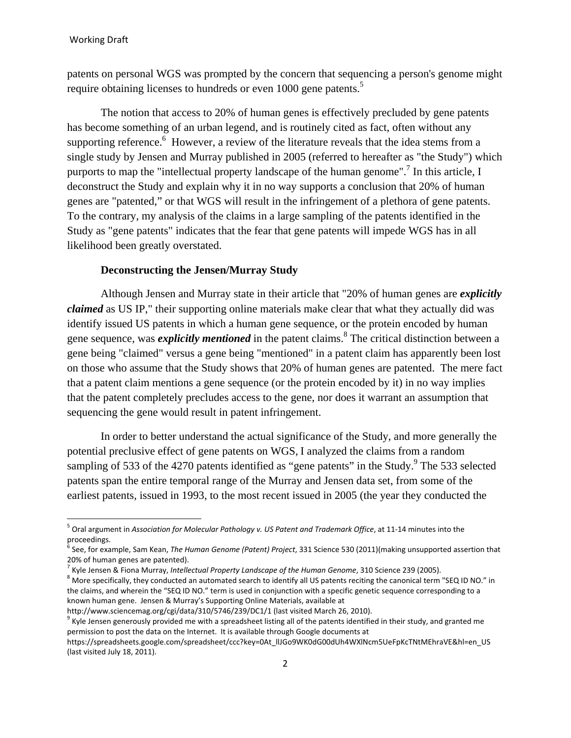patents on personal WGS was prompted by the concern that sequencing a person's genome might require obtaining licenses to hundreds or even 1000 gene patents.<sup>5</sup>

The notion that access to 20% of human genes is effectively precluded by gene patents has become something of an urban legend, and is routinely cited as fact, often without any supporting reference. <sup>6</sup> However, a review of the literature reveals that the idea stems from a single study by Jensen and Murray published in 2005 (referred to hereafter as "the Study") which purports to map the "intellectual property landscape of the human genome".<sup>7</sup> In this article, I deconstruct the Study and explain why it in no way supports a conclusion that 20% of human genes are "patented," or that WGS will result in the infringement of a plethora of gene patents. To the contrary, my analysis of the claims in a large sampling of the patents identified in the Study as "gene patents" indicates that the fear that gene patents will impede WGS has in all likelihood been greatly overstated.

#### **Deconstructing the Jensen/Murray Study**

Although Jensen and Murray state in their article that "20% of human genes are *explicitly claimed* as US IP," their supporting online materials make clear that what they actually did was identify issued US patents in which a human gene sequence, or the protein encoded by human gene sequence, was *explicitly mentioned* in the patent claims.<sup>8</sup> The critical distinction between a gene being "claimed" versus a gene being "mentioned" in a patent claim has apparently been lost on those who assume that the Study shows that 20% of human genes are patented. The mere fact that a patent claim mentions a gene sequence (or the protein encoded by it) in no way implies that the patent completely precludes access to the gene, nor does it warrant an assumption that sequencing the gene would result in patent infringement.

In order to better understand the actual significance of the Study, and more generally the potential preclusive effect of gene patents on WGS, I analyzed the claims from a random sampling of 533 of the 4270 patents identified as "gene patents" in the Study. <sup>9</sup> The 533 selected patents span the entire temporal range of the Murray and Jensen data set, from some of the earliest patents, issued in 1993, to the most recent issued in 2005 (the year they conducted the

<sup>5</sup> Oral argument in *Association for Molecular Pathology v. US Patent and Trademark Office*, at 11-14 minutes into the proceedings.

<sup>&</sup>lt;sup>6</sup> See, for example, Sam Kean, *The Human Genome (Patent) Project*, 331 Science 530 (2011)(making unsupported assertion that 20% of human genes are patented).

<sup>&</sup>lt;sup>7</sup> Kyle Jensen & Fiona Murray, *Intellectual Property Landscape of the Human Genome*, 310 Science 239 (2005).<br><sup>8</sup> Mars specifically, they conducted an automated coareh to identify all US patents resiting the cononical ter

<sup>8</sup> More specifically, they conducted an automated search to identify all US patents reciting the canonical term "SEQ ID NO." in the claims, and wherein the "SEQ ID NO." term is used in conjunction with a specific genetic sequence corresponding to a known human gene. Jensen & Murray's Supporting Online Materials, available at http://www.sciencemag.org/cgi/data/310/5746/239/DC1/1 (last visited March 26, 2010).

 $9$  Kyle Jensen generously provided me with a spreadsheet listing all of the patents identified in their study, and granted me permission to post the data on the Internet. It is available through Google documents at

https://spreadsheets.google.com/spreadsheet/ccc?key=0At\_llJGo9WK0dG00dUh4WXlNcm5UeFpKcTNtMEhraVE&hl=en\_US (last visited July 18, 2011).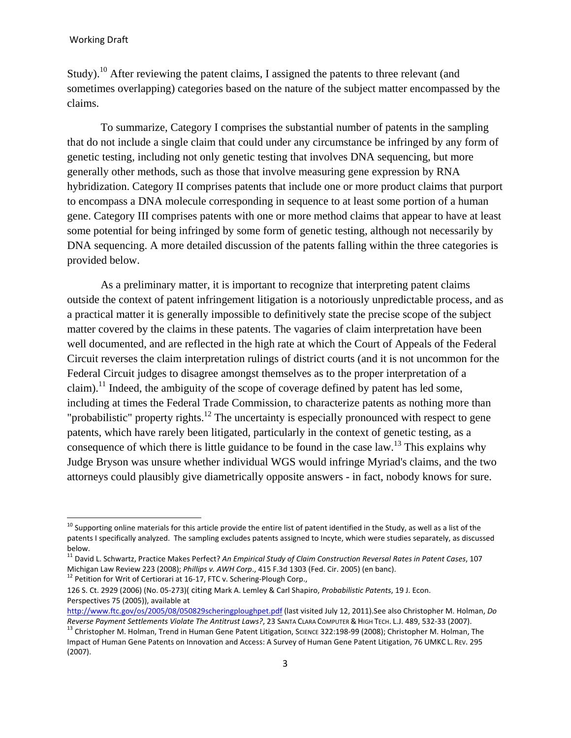Study).<sup>10</sup> After reviewing the patent claims, I assigned the patents to three relevant (and sometimes overlapping) categories based on the nature of the subject matter encompassed by the claims.

To summarize, Category I comprises the substantial number of patents in the sampling that do not include a single claim that could under any circumstance be infringed by any form of genetic testing, including not only genetic testing that involves DNA sequencing, but more generally other methods, such as those that involve measuring gene expression by RNA hybridization. Category II comprises patents that include one or more product claims that purport to encompass a DNA molecule corresponding in sequence to at least some portion of a human gene. Category III comprises patents with one or more method claims that appear to have at least some potential for being infringed by some form of genetic testing, although not necessarily by DNA sequencing. A more detailed discussion of the patents falling within the three categories is provided below.

As a preliminary matter, it is important to recognize that interpreting patent claims outside the context of patent infringement litigation is a notoriously unpredictable process, and as a practical matter it is generally impossible to definitively state the precise scope of the subject matter covered by the claims in these patents. The vagaries of claim interpretation have been well documented, and are reflected in the high rate at which the Court of Appeals of the Federal Circuit reverses the claim interpretation rulings of district courts (and it is not uncommon for the Federal Circuit judges to disagree amongst themselves as to the proper interpretation of a claim).<sup>11</sup> Indeed, the ambiguity of the scope of coverage defined by patent has led some, including at times the Federal Trade Commission, to characterize patents as nothing more than "probabilistic" property rights.<sup>12</sup> The uncertainty is especially pronounced with respect to gene patents, which have rarely been litigated, particularly in the context of genetic testing, as a consequence of which there is little guidance to be found in the case law.<sup>13</sup> This explains why Judge Bryson was unsure whether individual WGS would infringe Myriad's claims, and the two attorneys could plausibly give diametrically opposite answers - in fact, nobody knows for sure.

 $^{10}$  Supporting online materials for this article provide the entire list of patent identified in the Study, as well as a list of the patents I specifically analyzed. The sampling excludes patents assigned to Incyte, which were studies separately, as discussed below.

<sup>11</sup> David L. Schwartz, Practice Makes Perfect? *An Empirical Study of Claim Construction Reversal Rates in Patent Cases*, 107 Michigan Law Review 223 (2008); *Phillips v. AWH Corp.*, 415 F.3d 1303 (Fed. Cir. 2005) (en banc). <sup>12</sup> Petition for Writ of Certiorari at 16-17, FTC v. Schering-Plough Corp.,

<sup>126</sup> S. Ct. 2929 (2006) (No. 05-273)( citing Mark A. Lemley & Carl Shapiro, *Probabilistic Patents*, 19 J. Econ. Perspectives 75 (2005)), available at

http://www.ftc.gov/os/2005/08/050829scheringploughpet.pdf (last visited July 12, 2011).See also Christopher M. Holman, *Do* 

<sup>&</sup>lt;sup>13</sup> Christopher M. Holman, Trend in Human Gene Patent Litigation, SCIENCE 322:198-99 (2008); Christopher M. Holman, The Impact of Human Gene Patents on Innovation and Access: A Survey of Human Gene Patent Litigation, 76 UMKC L. REV. 295 (2007).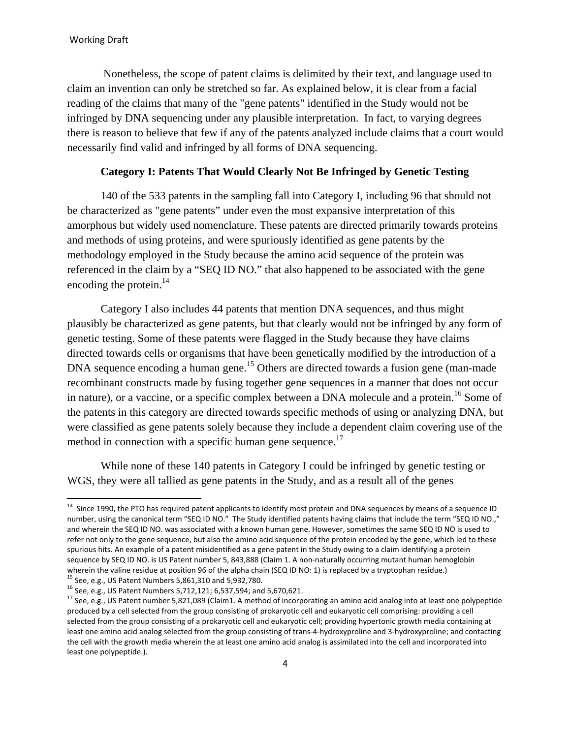l

 Nonetheless, the scope of patent claims is delimited by their text, and language used to claim an invention can only be stretched so far. As explained below, it is clear from a facial reading of the claims that many of the "gene patents" identified in the Study would not be infringed by DNA sequencing under any plausible interpretation. In fact, to varying degrees there is reason to believe that few if any of the patents analyzed include claims that a court would necessarily find valid and infringed by all forms of DNA sequencing.

## **Category I: Patents That Would Clearly Not Be Infringed by Genetic Testing**

140 of the 533 patents in the sampling fall into Category I, including 96 that should not be characterized as "gene patents" under even the most expansive interpretation of this amorphous but widely used nomenclature. These patents are directed primarily towards proteins and methods of using proteins, and were spuriously identified as gene patents by the methodology employed in the Study because the amino acid sequence of the protein was referenced in the claim by a "SEQ ID NO." that also happened to be associated with the gene encoding the protein.<sup>14</sup>

Category I also includes 44 patents that mention DNA sequences, and thus might plausibly be characterized as gene patents, but that clearly would not be infringed by any form of genetic testing. Some of these patents were flagged in the Study because they have claims directed towards cells or organisms that have been genetically modified by the introduction of a DNA sequence encoding a human gene.<sup>15</sup> Others are directed towards a fusion gene (man-made recombinant constructs made by fusing together gene sequences in a manner that does not occur in nature), or a vaccine, or a specific complex between a DNA molecule and a protein.<sup>16</sup> Some of the patents in this category are directed towards specific methods of using or analyzing DNA, but were classified as gene patents solely because they include a dependent claim covering use of the method in connection with a specific human gene sequence.<sup>17</sup>

While none of these 140 patents in Category I could be infringed by genetic testing or WGS, they were all tallied as gene patents in the Study, and as a result all of the genes

<sup>&</sup>lt;sup>14</sup> Since 1990, the PTO has required patent applicants to identify most protein and DNA sequences by means of a sequence ID number, using the canonical term "SEQ ID NO." The Study identified patents having claims that include the term "SEQ ID NO.," and wherein the SEQ ID NO. was associated with a known human gene. However, sometimes the same SEQ ID NO is used to refer not only to the gene sequence, but also the amino acid sequence of the protein encoded by the gene, which led to these spurious hits. An example of a patent misidentified as a gene patent in the Study owing to a claim identifying a protein sequence by SEQ ID NO. is US Patent number 5, 843,888 (Claim 1. A non-naturally occurring mutant human hemoglobin wherein the valine residue at position 96 of the alpha chain (SEQ ID NO: 1) is replaced by a tryptophan residue.) <sup>15</sup> See, e.g., US Patent Numbers 5,861,310 and 5,932,780.

<sup>16</sup> See, e.g., US Patent Numbers 5,712,121; 6,537,594; and 5,670,621.

<sup>17</sup> See, e.g., US Patent number 5,821,089 (Claim1. A method of incorporating an amino acid analog into at least one polypeptide produced by a cell selected from the group consisting of prokaryotic cell and eukaryotic cell comprising: providing a cell selected from the group consisting of a prokaryotic cell and eukaryotic cell; providing hypertonic growth media containing at least one amino acid analog selected from the group consisting of trans-4-hydroxyproline and 3-hydroxyproline; and contacting the cell with the growth media wherein the at least one amino acid analog is assimilated into the cell and incorporated into least one polypeptide.).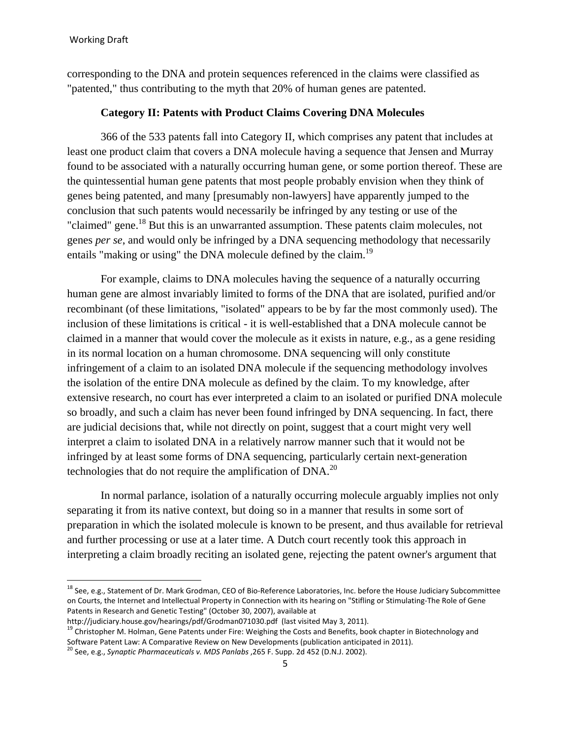corresponding to the DNA and protein sequences referenced in the claims were classified as "patented," thus contributing to the myth that 20% of human genes are patented.

### **Category II: Patents with Product Claims Covering DNA Molecules**

366 of the 533 patents fall into Category II, which comprises any patent that includes at least one product claim that covers a DNA molecule having a sequence that Jensen and Murray found to be associated with a naturally occurring human gene, or some portion thereof. These are the quintessential human gene patents that most people probably envision when they think of genes being patented, and many [presumably non-lawyers] have apparently jumped to the conclusion that such patents would necessarily be infringed by any testing or use of the "claimed" gene.<sup>18</sup> But this is an unwarranted assumption. These patents claim molecules, not genes *per se*, and would only be infringed by a DNA sequencing methodology that necessarily entails "making or using" the DNA molecule defined by the claim.<sup>19</sup>

For example, claims to DNA molecules having the sequence of a naturally occurring human gene are almost invariably limited to forms of the DNA that are isolated, purified and/or recombinant (of these limitations, "isolated" appears to be by far the most commonly used). The inclusion of these limitations is critical - it is well-established that a DNA molecule cannot be claimed in a manner that would cover the molecule as it exists in nature, e.g., as a gene residing in its normal location on a human chromosome. DNA sequencing will only constitute infringement of a claim to an isolated DNA molecule if the sequencing methodology involves the isolation of the entire DNA molecule as defined by the claim. To my knowledge, after extensive research, no court has ever interpreted a claim to an isolated or purified DNA molecule so broadly, and such a claim has never been found infringed by DNA sequencing. In fact, there are judicial decisions that, while not directly on point, suggest that a court might very well interpret a claim to isolated DNA in a relatively narrow manner such that it would not be infringed by at least some forms of DNA sequencing, particularly certain next-generation technologies that do not require the amplification of DNA.<sup>20</sup>

In normal parlance, isolation of a naturally occurring molecule arguably implies not only separating it from its native context, but doing so in a manner that results in some sort of preparation in which the isolated molecule is known to be present, and thus available for retrieval and further processing or use at a later time. A Dutch court recently took this approach in interpreting a claim broadly reciting an isolated gene, rejecting the patent owner's argument that

<sup>&</sup>lt;sup>18</sup> See, e.g., Statement of Dr. Mark Grodman, CEO of Bio-Reference Laboratories, Inc. before the House Judiciary Subcommittee on Courts, the Internet and Intellectual Property in Connection with its hearing on "Stifling or Stimulating-The Role of Gene Patents in Research and Genetic Testing" (October 30, 2007), available at<br>http://judiciary.house.gov/hearings/pdf/Grodman071030.pdf (last visited May 3, 2011).

<sup>&</sup>lt;sup>19</sup> Christopher M. Holman, Gene Patents under Fire: Weighing the Costs and Benefits, book chapter in Biotechnology and<br>Software Patent Law: A Comparative Review on New Developments (publication anticipated in 2011).

<sup>&</sup>lt;sup>20</sup> See, e.g., Synaptic Pharmaceuticals v. MDS Panlabs ,265 F. Supp. 2d 452 (D.N.J. 2002).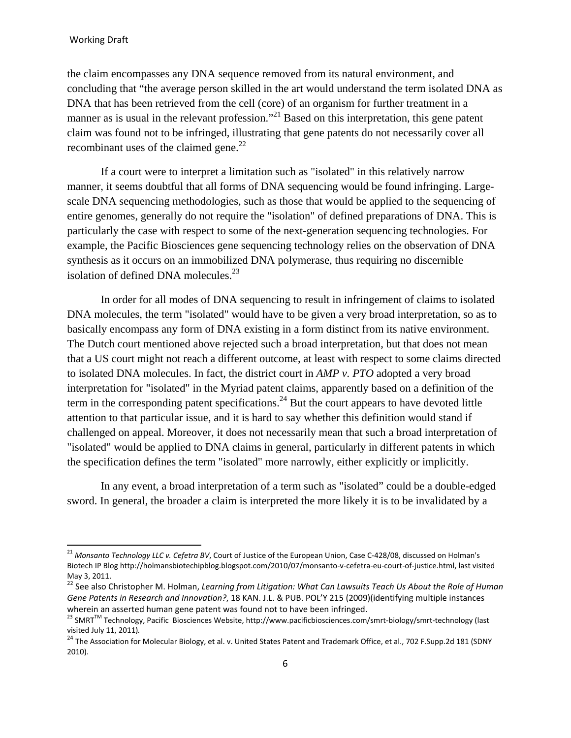the claim encompasses any DNA sequence removed from its natural environment, and concluding that "the average person skilled in the art would understand the term isolated DNA as DNA that has been retrieved from the cell (core) of an organism for further treatment in a manner as is usual in the relevant profession."<sup>21</sup> Based on this interpretation, this gene patent claim was found not to be infringed, illustrating that gene patents do not necessarily cover all recombinant uses of the claimed gene. $^{22}$ 

If a court were to interpret a limitation such as "isolated" in this relatively narrow manner, it seems doubtful that all forms of DNA sequencing would be found infringing. Largescale DNA sequencing methodologies, such as those that would be applied to the sequencing of entire genomes, generally do not require the "isolation" of defined preparations of DNA. This is particularly the case with respect to some of the next-generation sequencing technologies. For example, the Pacific Biosciences gene sequencing technology relies on the observation of DNA synthesis as it occurs on an immobilized DNA polymerase, thus requiring no discernible isolation of defined DNA molecules. $^{23}$ 

In order for all modes of DNA sequencing to result in infringement of claims to isolated DNA molecules, the term "isolated" would have to be given a very broad interpretation, so as to basically encompass any form of DNA existing in a form distinct from its native environment. The Dutch court mentioned above rejected such a broad interpretation, but that does not mean that a US court might not reach a different outcome, at least with respect to some claims directed to isolated DNA molecules. In fact, the district court in *AMP v. PTO* adopted a very broad interpretation for "isolated" in the Myriad patent claims, apparently based on a definition of the term in the corresponding patent specifications.<sup>24</sup> But the court appears to have devoted little attention to that particular issue, and it is hard to say whether this definition would stand if challenged on appeal. Moreover, it does not necessarily mean that such a broad interpretation of "isolated" would be applied to DNA claims in general, particularly in different patents in which the specification defines the term "isolated" more narrowly, either explicitly or implicitly.

In any event, a broad interpretation of a term such as "isolated" could be a double-edged sword. In general, the broader a claim is interpreted the more likely it is to be invalidated by a

<sup>21</sup> *Monsanto Technology LLC v. Cefetra BV*, Court of Justice of the European Union, Case C-428/08, discussed on Holman's Biotech IP Blog http://holmansbiotechipblog.blogspot.com/2010/07/monsanto-v-cefetra-eu-court-of-justice.html, last visited May 3, 2011.

<sup>22</sup> See also Christopher M. Holman, *Learning from Litigation: What Can Lawsuits Teach Us About the Role of Human Gene Patents in Research and Innovation?*, 18 KAN. J.L. & PUB. POL'Y 215 (2009)(identifying multiple instances wherein an asserted human gene patent was found not to have been infringed.

<sup>&</sup>lt;sup>23</sup> SMRT<sup>™</sup> Technology, Pacific Biosciences Website, http://www.pacificbiosciences.com/smrt-biology/smrt-technology (last<br>visited July 11, 2011).

<sup>&</sup>lt;sup>24</sup> The Association for Molecular Biology, et al. v. United States Patent and Trademark Office, et al., 702 F.Supp.2d 181 (SDNY 2010).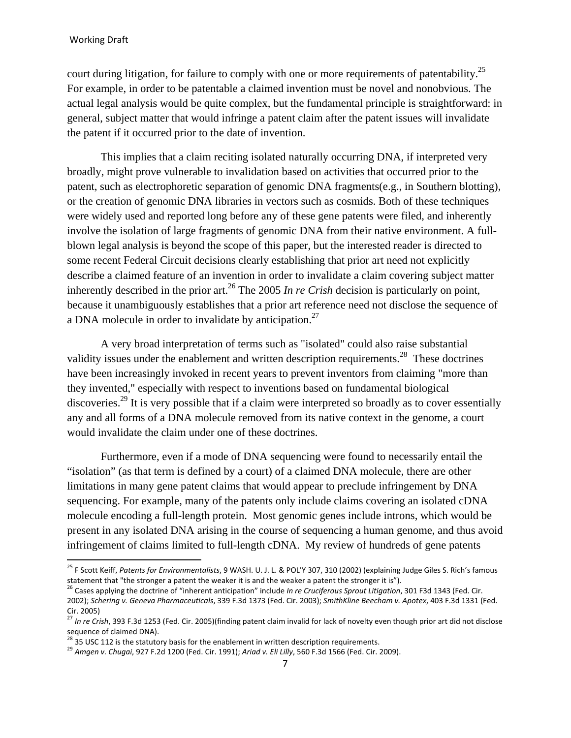court during litigation, for failure to comply with one or more requirements of patentability.<sup>25</sup> For example, in order to be patentable a claimed invention must be novel and nonobvious. The actual legal analysis would be quite complex, but the fundamental principle is straightforward: in general, subject matter that would infringe a patent claim after the patent issues will invalidate the patent if it occurred prior to the date of invention.

This implies that a claim reciting isolated naturally occurring DNA, if interpreted very broadly, might prove vulnerable to invalidation based on activities that occurred prior to the patent, such as electrophoretic separation of genomic DNA fragments(e.g., in Southern blotting), or the creation of genomic DNA libraries in vectors such as cosmids. Both of these techniques were widely used and reported long before any of these gene patents were filed, and inherently involve the isolation of large fragments of genomic DNA from their native environment. A fullblown legal analysis is beyond the scope of this paper, but the interested reader is directed to some recent Federal Circuit decisions clearly establishing that prior art need not explicitly describe a claimed feature of an invention in order to invalidate a claim covering subject matter inherently described in the prior art.<sup>26</sup> The 2005 *In re Crish* decision is particularly on point, because it unambiguously establishes that a prior art reference need not disclose the sequence of a DNA molecule in order to invalidate by anticipation.27

A very broad interpretation of terms such as "isolated" could also raise substantial validity issues under the enablement and written description requirements.<sup>28</sup> These doctrines have been increasingly invoked in recent years to prevent inventors from claiming "more than they invented," especially with respect to inventions based on fundamental biological discoveries.<sup>29</sup> It is very possible that if a claim were interpreted so broadly as to cover essentially any and all forms of a DNA molecule removed from its native context in the genome, a court would invalidate the claim under one of these doctrines.

Furthermore, even if a mode of DNA sequencing were found to necessarily entail the "isolation" (as that term is defined by a court) of a claimed DNA molecule, there are other limitations in many gene patent claims that would appear to preclude infringement by DNA sequencing. For example, many of the patents only include claims covering an isolated cDNA molecule encoding a full-length protein. Most genomic genes include introns, which would be present in any isolated DNA arising in the course of sequencing a human genome, and thus avoid infringement of claims limited to full-length cDNA. My review of hundreds of gene patents

<sup>25</sup> F Scott Keiff, *Patents for Environmentalists*, 9 WASH. U. J. L. & POL'Y 307, 310 (2002) (explaining Judge Giles S. Rich's famous statement that "the stronger a patent the weaker it is and the weaker a patent the stronger it is").<br><sup>26</sup> Cases applying the doctrine of "inherent anticipation" include In re Cruciferous Sprout Litigation, 301 F3d 1343 (Fe

<sup>2002);</sup> *Schering v. Geneva Pharmaceuticals*, 339 F.3d 1373 (Fed. Cir. 2003); *SmithKline Beecham v. Apotex*, 403 F.3d 1331 (Fed. Cir. 2005)

<sup>&</sup>lt;sup>27</sup> In re Crish, 393 F.3d 1253 (Fed. Cir. 2005)(finding patent claim invalid for lack of novelty even though prior art did not disclose sequence of claimed DNA).<br> $^{28}$  35 USC 112 is the statutory basis for the enablement in written description requirements.

<sup>&</sup>lt;sup>29</sup> Amaen v. Chugai, 927 F.2d 1200 (Fed. Cir. 1991); Ariad v. Eli Lilly, 560 F.3d 1566 (Fed. Cir. 2009).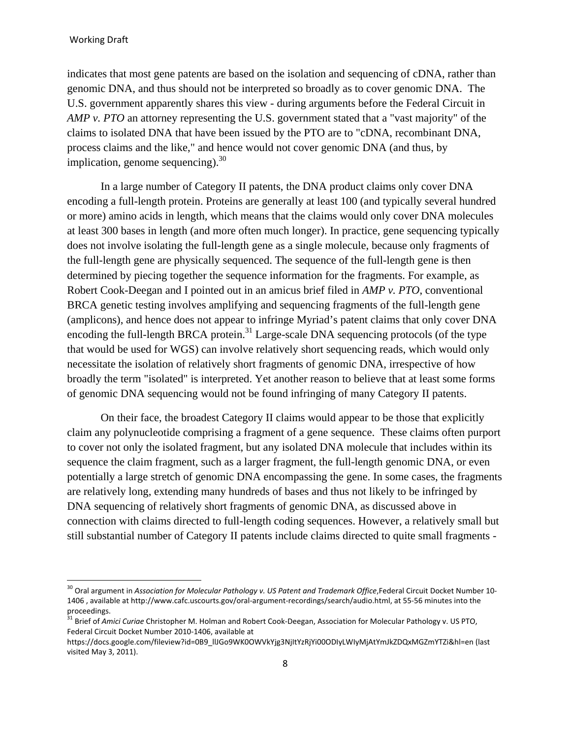indicates that most gene patents are based on the isolation and sequencing of cDNA, rather than genomic DNA, and thus should not be interpreted so broadly as to cover genomic DNA. The U.S. government apparently shares this view - during arguments before the Federal Circuit in *AMP v. PTO* an attorney representing the U.S. government stated that a "vast majority" of the claims to isolated DNA that have been issued by the PTO are to "cDNA, recombinant DNA, process claims and the like," and hence would not cover genomic DNA (and thus, by implication, genome sequencing).  $30<sup>30</sup>$ 

In a large number of Category II patents, the DNA product claims only cover DNA encoding a full-length protein. Proteins are generally at least 100 (and typically several hundred or more) amino acids in length, which means that the claims would only cover DNA molecules at least 300 bases in length (and more often much longer). In practice, gene sequencing typically does not involve isolating the full-length gene as a single molecule, because only fragments of the full-length gene are physically sequenced. The sequence of the full-length gene is then determined by piecing together the sequence information for the fragments. For example, as Robert Cook-Deegan and I pointed out in an amicus brief filed in *AMP v. PTO*, conventional BRCA genetic testing involves amplifying and sequencing fragments of the full-length gene (amplicons), and hence does not appear to infringe Myriad's patent claims that only cover DNA encoding the full-length BRCA protein.<sup>31</sup> Large-scale DNA sequencing protocols (of the type that would be used for WGS) can involve relatively short sequencing reads, which would only necessitate the isolation of relatively short fragments of genomic DNA, irrespective of how broadly the term "isolated" is interpreted. Yet another reason to believe that at least some forms of genomic DNA sequencing would not be found infringing of many Category II patents.

On their face, the broadest Category II claims would appear to be those that explicitly claim any polynucleotide comprising a fragment of a gene sequence. These claims often purport to cover not only the isolated fragment, but any isolated DNA molecule that includes within its sequence the claim fragment, such as a larger fragment, the full-length genomic DNA, or even potentially a large stretch of genomic DNA encompassing the gene. In some cases, the fragments are relatively long, extending many hundreds of bases and thus not likely to be infringed by DNA sequencing of relatively short fragments of genomic DNA, as discussed above in connection with claims directed to full-length coding sequences. However, a relatively small but still substantial number of Category II patents include claims directed to quite small fragments -

<sup>30</sup> Oral argument in *Association for Molecular Pathology v. US Patent and Trademark Office*,Federal Circuit Docket Number 10- 1406 , available at http://www.cafc.uscourts.gov/oral-argument-recordings/search/audio.html, at 55-56 minutes into the proceedings.

<sup>&</sup>lt;sup>31</sup> Brief of *Amici Curiae* Christopher M. Holman and Robert Cook-Deegan, Association for Molecular Pathology v. US PTO, Federal Circuit Docket Number 2010-1406, available at

https://docs.google.com/fileview?id=0B9\_llJGo9WK0OWVkYjg3NjItYzRjYi00ODIyLWIyMjAtYmJkZDQxMGZmYTZi&hl=en (last visited May 3, 2011).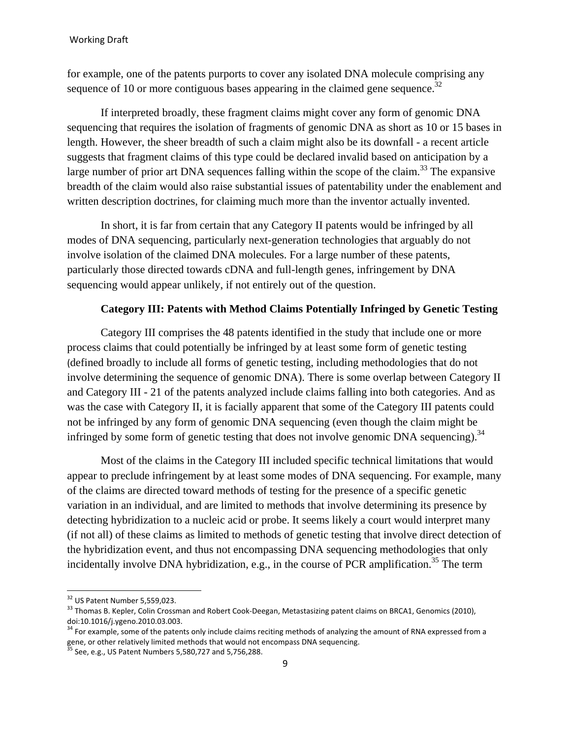for example, one of the patents purports to cover any isolated DNA molecule comprising any sequence of 10 or more contiguous bases appearing in the claimed gene sequence.<sup>32</sup>

If interpreted broadly, these fragment claims might cover any form of genomic DNA sequencing that requires the isolation of fragments of genomic DNA as short as 10 or 15 bases in length. However, the sheer breadth of such a claim might also be its downfall - a recent article suggests that fragment claims of this type could be declared invalid based on anticipation by a large number of prior art DNA sequences falling within the scope of the claim.<sup>33</sup> The expansive breadth of the claim would also raise substantial issues of patentability under the enablement and written description doctrines, for claiming much more than the inventor actually invented.

In short, it is far from certain that any Category II patents would be infringed by all modes of DNA sequencing, particularly next-generation technologies that arguably do not involve isolation of the claimed DNA molecules. For a large number of these patents, particularly those directed towards cDNA and full-length genes, infringement by DNA sequencing would appear unlikely, if not entirely out of the question.

## **Category III: Patents with Method Claims Potentially Infringed by Genetic Testing**

Category III comprises the 48 patents identified in the study that include one or more process claims that could potentially be infringed by at least some form of genetic testing (defined broadly to include all forms of genetic testing, including methodologies that do not involve determining the sequence of genomic DNA). There is some overlap between Category II and Category III - 21 of the patents analyzed include claims falling into both categories. And as was the case with Category II, it is facially apparent that some of the Category III patents could not be infringed by any form of genomic DNA sequencing (even though the claim might be infringed by some form of genetic testing that does not involve genomic DNA sequencing).<sup>34</sup>

Most of the claims in the Category III included specific technical limitations that would appear to preclude infringement by at least some modes of DNA sequencing. For example, many of the claims are directed toward methods of testing for the presence of a specific genetic variation in an individual, and are limited to methods that involve determining its presence by detecting hybridization to a nucleic acid or probe. It seems likely a court would interpret many (if not all) of these claims as limited to methods of genetic testing that involve direct detection of the hybridization event, and thus not encompassing DNA sequencing methodologies that only incidentally involve DNA hybridization, e.g., in the course of PCR amplification.<sup>35</sup> The term

 $\overline{\phantom{a}}$ 

 $32$  US Patent Number 5,559,023.

<sup>&</sup>lt;sup>33</sup> Thomas B. Kepler, Colin Crossman and Robert Cook-Deegan, Metastasizing patent claims on BRCA1, Genomics (2010), doi:10.1016/j.ygeno.2010.03.003.

 $34$  For example, some of the patents only include claims reciting methods of analyzing the amount of RNA expressed from a gene, or other relatively limited methods that would not encompass DNA sequencing.

 $35$  See, e.g., US Patent Numbers 5,580,727 and 5,756,288.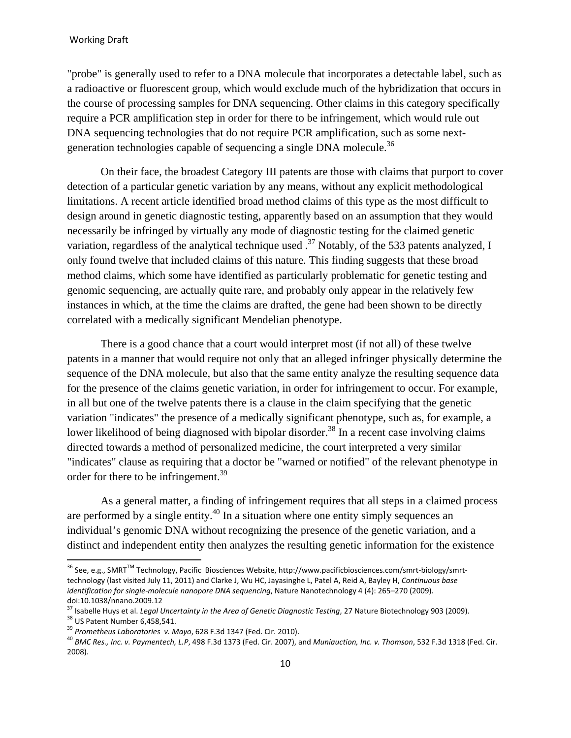"probe" is generally used to refer to a DNA molecule that incorporates a detectable label, such as a radioactive or fluorescent group, which would exclude much of the hybridization that occurs in the course of processing samples for DNA sequencing. Other claims in this category specifically require a PCR amplification step in order for there to be infringement, which would rule out DNA sequencing technologies that do not require PCR amplification, such as some nextgeneration technologies capable of sequencing a single DNA molecule.<sup>36</sup>

On their face, the broadest Category III patents are those with claims that purport to cover detection of a particular genetic variation by any means, without any explicit methodological limitations. A recent article identified broad method claims of this type as the most difficult to design around in genetic diagnostic testing, apparently based on an assumption that they would necessarily be infringed by virtually any mode of diagnostic testing for the claimed genetic variation, regardless of the analytical technique used  $^{37}$  Notably, of the 533 patents analyzed, I only found twelve that included claims of this nature. This finding suggests that these broad method claims, which some have identified as particularly problematic for genetic testing and genomic sequencing, are actually quite rare, and probably only appear in the relatively few instances in which, at the time the claims are drafted, the gene had been shown to be directly correlated with a medically significant Mendelian phenotype.

There is a good chance that a court would interpret most (if not all) of these twelve patents in a manner that would require not only that an alleged infringer physically determine the sequence of the DNA molecule, but also that the same entity analyze the resulting sequence data for the presence of the claims genetic variation, in order for infringement to occur. For example, in all but one of the twelve patents there is a clause in the claim specifying that the genetic variation "indicates" the presence of a medically significant phenotype, such as, for example, a lower likelihood of being diagnosed with bipolar disorder.<sup>38</sup> In a recent case involving claims directed towards a method of personalized medicine, the court interpreted a very similar "indicates" clause as requiring that a doctor be "warned or notified" of the relevant phenotype in order for there to be infringement.<sup>39</sup>

As a general matter, a finding of infringement requires that all steps in a claimed process are performed by a single entity.<sup>40</sup> In a situation where one entity simply sequences an individual's genomic DNA without recognizing the presence of the genetic variation, and a distinct and independent entity then analyzes the resulting genetic information for the existence

 $\overline{\phantom{a}}$ 

<sup>&</sup>lt;sup>36</sup> See, e.g., SMRT™ Technology, Pacific Biosciences Website, http://www.pacificbiosciences.com/smrt-biology/smrttechnology (last visited July 11, 2011) and Clarke J, Wu HC, Jayasinghe L, Patel A, Reid A, Bayley H, *Continuous base identification for single-molecule nanopore DNA sequencing*, Nature Nanotechnology 4 (4): 265–270 (2009). doi:10.1038/nnano.2009.12

<sup>&</sup>lt;sup>37</sup> Isabelle Huys et al. *Legal Uncertainty in the Area of Genetic Diagnostic Testing*, 27 Nature Biotechnology 903 (2009).<br><sup>38</sup> US Patent Number 6,458,541.<br><sup>39</sup> Prometheus Laboratories v. Mayo, 628 F.3d 1347 (Fed. Cir. 2

<sup>&</sup>lt;sup>40</sup> BMC Res., Inc. v. Paymentech, L.P, 498 F.3d 1373 (Fed. Cir. 2007), and *Muniauction, Inc. v. Thomson*, 532 F.3d 1318 (Fed. Cir. 2008).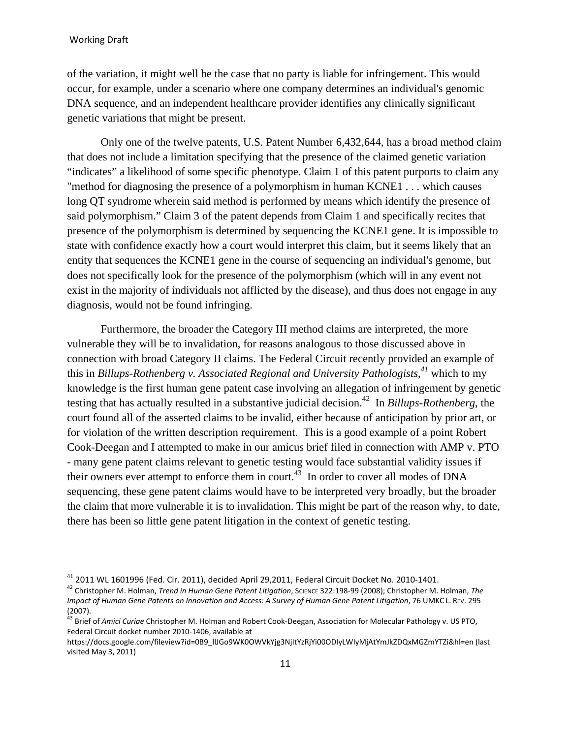$\overline{a}$ 

of the variation, it might well be the case that no party is liable for infringement. This would occur, for example, under a scenario where one company determines an individual's genomic DNA sequence, and an independent healthcare provider identifies any clinically significant genetic variations that might be present.

Only one of the twelve patents, U.S. Patent Number 6,432,644, has a broad method claim that does not include a limitation specifying that the presence of the claimed genetic variation "indicates" a likelihood of some specific phenotype. Claim 1 of this patent purports to claim any "method for diagnosing the presence of a polymorphism in human KCNE1 . . . which causes long QT syndrome wherein said method is performed by means which identify the presence of said polymorphism." Claim 3 of the patent depends from Claim 1 and specifically recites that presence of the polymorphism is determined by sequencing the KCNE1 gene. It is impossible to state with confidence exactly how a court would interpret this claim, but it seems likely that an entity that sequences the KCNE1 gene in the course of sequencing an individual's genome, but does not specifically look for the presence of the polymorphism (which will in any event not exist in the majority of individuals not afflicted by the disease), and thus does not engage in any diagnosis, would not be found infringing.

Furthermore, the broader the Category III method claims are interpreted, the more vulnerable they will be to invalidation, for reasons analogous to those discussed above in connection with broad Category II claims. The Federal Circuit recently provided an example of this in *Billups-Rothenberg v. Associated Regional and University Pathologists*,<sup>41</sup> which to my knowledge is the first human gene patent case involving an allegation of infringement by genetic testing that has actually resulted in a substantive judicial decision.42 In *Billups-Rothenberg*, the court found all of the asserted claims to be invalid, either because of anticipation by prior art, or for violation of the written description requirement. This is a good example of a point Robert Cook-Deegan and I attempted to make in our amicus brief filed in connection with AMP v. PTO - many gene patent claims relevant to genetic testing would face substantial validity issues if their owners ever attempt to enforce them in court.<sup>43</sup> In order to cover all modes of DNA sequencing, these gene patent claims would have to be interpreted very broadly, but the broader the claim that more vulnerable it is to invalidation. This might be part of the reason why, to date, there has been so little gene patent litigation in the context of genetic testing.

<sup>41 2011</sup> WL 1601996 (Fed. Cir. 2011), decided April 29,2011, Federal Circuit Docket No. 2010-1401.

<sup>42</sup> Christopher M. Holman, *Trend in Human Gene Patent Litigation*, SCIENCE 322:198-99 (2008); Christopher M. Holman, *The Impact of Human Gene Patents on Innovation and Access: A Survey of Human Gene Patent Litigation*, 76 UMKC L. REV. 295 (2007).

<sup>43</sup> Brief of *Amici Curiae* Christopher M. Holman and Robert Cook-Deegan, Association for Molecular Pathology v. US PTO, Federal Circuit docket number 2010-1406, available at

https://docs.google.com/fileview?id=0B9\_llJGo9WK0OWVkYjg3NjItYzRjYi00ODIyLWIyMjAtYmJkZDQxMGZmYTZi&hl=en (last visited May 3, 2011)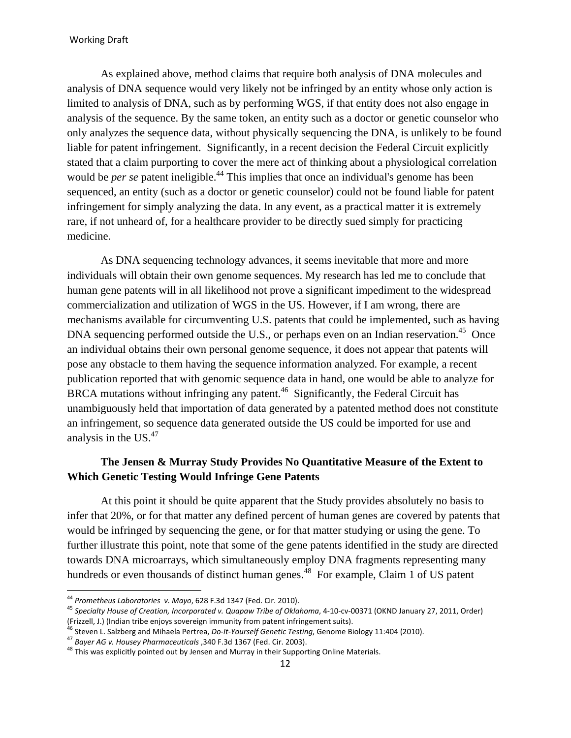#### Working Draft

As explained above, method claims that require both analysis of DNA molecules and analysis of DNA sequence would very likely not be infringed by an entity whose only action is limited to analysis of DNA, such as by performing WGS, if that entity does not also engage in analysis of the sequence. By the same token, an entity such as a doctor or genetic counselor who only analyzes the sequence data, without physically sequencing the DNA, is unlikely to be found liable for patent infringement. Significantly, in a recent decision the Federal Circuit explicitly stated that a claim purporting to cover the mere act of thinking about a physiological correlation would be *per se* patent ineligible.<sup>44</sup> This implies that once an individual's genome has been sequenced, an entity (such as a doctor or genetic counselor) could not be found liable for patent infringement for simply analyzing the data. In any event, as a practical matter it is extremely rare, if not unheard of, for a healthcare provider to be directly sued simply for practicing medicine.

As DNA sequencing technology advances, it seems inevitable that more and more individuals will obtain their own genome sequences. My research has led me to conclude that human gene patents will in all likelihood not prove a significant impediment to the widespread commercialization and utilization of WGS in the US. However, if I am wrong, there are mechanisms available for circumventing U.S. patents that could be implemented, such as having DNA sequencing performed outside the U.S., or perhaps even on an Indian reservation.<sup>45</sup> Once an individual obtains their own personal genome sequence, it does not appear that patents will pose any obstacle to them having the sequence information analyzed. For example, a recent publication reported that with genomic sequence data in hand, one would be able to analyze for BRCA mutations without infringing any patent.<sup>46</sup> Significantly, the Federal Circuit has unambiguously held that importation of data generated by a patented method does not constitute an infringement, so sequence data generated outside the US could be imported for use and analysis in the US. $47$ 

## **The Jensen & Murray Study Provides No Quantitative Measure of the Extent to Which Genetic Testing Would Infringe Gene Patents**

At this point it should be quite apparent that the Study provides absolutely no basis to infer that 20%, or for that matter any defined percent of human genes are covered by patents that would be infringed by sequencing the gene, or for that matter studying or using the gene. To further illustrate this point, note that some of the gene patents identified in the study are directed towards DNA microarrays, which simultaneously employ DNA fragments representing many hundreds or even thousands of distinct human genes.<sup>48</sup> For example, Claim 1 of US patent

<sup>&</sup>lt;sup>44</sup> Prometheus Laboratories v. Mayo, 628 F.3d 1347 (Fed. Cir. 2010).

<sup>&</sup>lt;sup>45</sup> Specialty House of Creation, Incorporated v. Quapaw Tribe of Oklahoma, 4-10-cv-00371 (OKND January 27, 2011, Order)<br>(Frizzell, J.) (Indian tribe enjoys sovereign immunity from patent infringement suits).

<sup>&</sup>lt;sup>46</sup> Steven L. Salzberg and Mihaela Pertrea, *Do-It-Yourself Genetic Testing*, Genome Biology 11:404 (2010).<br><sup>47</sup> Bayer AG v. Housey Pharmaceuticals , 340 F.3d 1367 (Fed. Cir. 2003).<br><sup>48</sup> This was explicitly pointed out b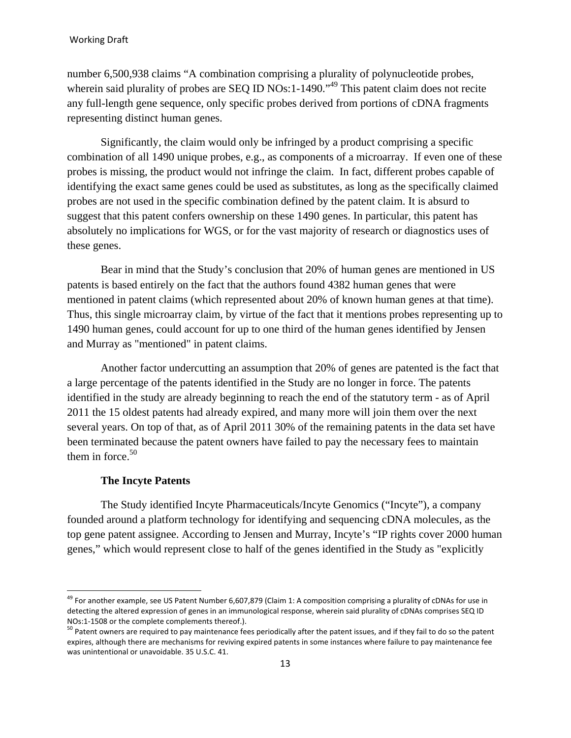number 6,500,938 claims "A combination comprising a plurality of polynucleotide probes, wherein said plurality of probes are SEQ ID NOs:1-1490.<sup> $49$ </sup> This patent claim does not recite any full-length gene sequence, only specific probes derived from portions of cDNA fragments representing distinct human genes.

Significantly, the claim would only be infringed by a product comprising a specific combination of all 1490 unique probes, e.g., as components of a microarray. If even one of these probes is missing, the product would not infringe the claim. In fact, different probes capable of identifying the exact same genes could be used as substitutes, as long as the specifically claimed probes are not used in the specific combination defined by the patent claim. It is absurd to suggest that this patent confers ownership on these 1490 genes. In particular, this patent has absolutely no implications for WGS, or for the vast majority of research or diagnostics uses of these genes.

Bear in mind that the Study's conclusion that 20% of human genes are mentioned in US patents is based entirely on the fact that the authors found 4382 human genes that were mentioned in patent claims (which represented about 20% of known human genes at that time). Thus, this single microarray claim, by virtue of the fact that it mentions probes representing up to 1490 human genes, could account for up to one third of the human genes identified by Jensen and Murray as "mentioned" in patent claims.

Another factor undercutting an assumption that 20% of genes are patented is the fact that a large percentage of the patents identified in the Study are no longer in force. The patents identified in the study are already beginning to reach the end of the statutory term - as of April 2011 the 15 oldest patents had already expired, and many more will join them over the next several years. On top of that, as of April 2011 30% of the remaining patents in the data set have been terminated because the patent owners have failed to pay the necessary fees to maintain them in force. $50$ 

#### **The Incyte Patents**

 $\overline{\phantom{a}}$ 

The Study identified Incyte Pharmaceuticals/Incyte Genomics ("Incyte"), a company founded around a platform technology for identifying and sequencing cDNA molecules, as the top gene patent assignee. According to Jensen and Murray, Incyte's "IP rights cover 2000 human genes," which would represent close to half of the genes identified in the Study as "explicitly

<sup>&</sup>lt;sup>49</sup> For another example, see US Patent Number 6,607,879 (Claim 1: A composition comprising a plurality of cDNAs for use in detecting the altered expression of genes in an immunological response, wherein said plurality of cDNAs comprises SEQ ID NOs:1-1508 or the complete complements thereof.).

<sup>&</sup>lt;sup>50</sup> Patent owners are required to pay maintenance fees periodically after the patent issues, and if they fail to do so the patent expires, although there are mechanisms for reviving expired patents in some instances where failure to pay maintenance fee was unintentional or unavoidable. 35 U.S.C. 41.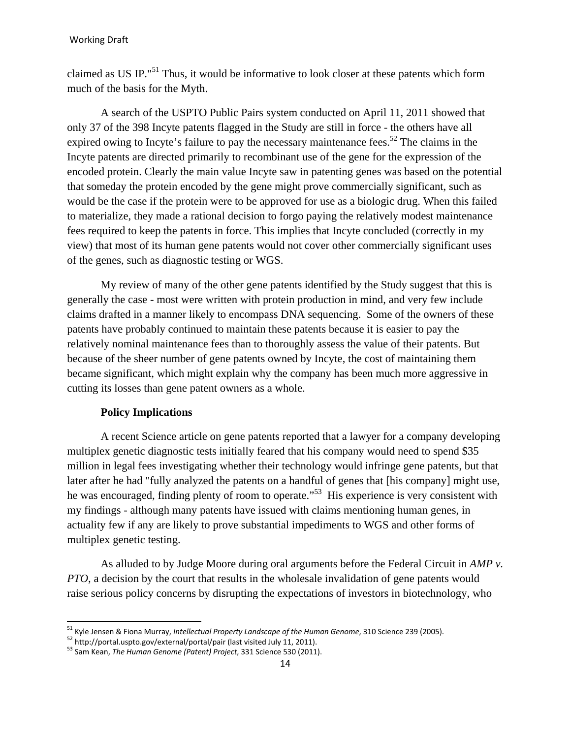claimed as US IP."51 Thus, it would be informative to look closer at these patents which form much of the basis for the Myth.

A search of the USPTO Public Pairs system conducted on April 11, 2011 showed that only 37 of the 398 Incyte patents flagged in the Study are still in force - the others have all expired owing to Incyte's failure to pay the necessary maintenance fees.<sup>52</sup> The claims in the Incyte patents are directed primarily to recombinant use of the gene for the expression of the encoded protein. Clearly the main value Incyte saw in patenting genes was based on the potential that someday the protein encoded by the gene might prove commercially significant, such as would be the case if the protein were to be approved for use as a biologic drug. When this failed to materialize, they made a rational decision to forgo paying the relatively modest maintenance fees required to keep the patents in force. This implies that Incyte concluded (correctly in my view) that most of its human gene patents would not cover other commercially significant uses of the genes, such as diagnostic testing or WGS.

My review of many of the other gene patents identified by the Study suggest that this is generally the case - most were written with protein production in mind, and very few include claims drafted in a manner likely to encompass DNA sequencing. Some of the owners of these patents have probably continued to maintain these patents because it is easier to pay the relatively nominal maintenance fees than to thoroughly assess the value of their patents. But because of the sheer number of gene patents owned by Incyte, the cost of maintaining them became significant, which might explain why the company has been much more aggressive in cutting its losses than gene patent owners as a whole.

## **Policy Implications**

 $\overline{\phantom{a}}$ 

A recent Science article on gene patents reported that a lawyer for a company developing multiplex genetic diagnostic tests initially feared that his company would need to spend \$35 million in legal fees investigating whether their technology would infringe gene patents, but that later after he had "fully analyzed the patents on a handful of genes that [his company] might use, he was encouraged, finding plenty of room to operate."<sup>53</sup> His experience is very consistent with my findings - although many patents have issued with claims mentioning human genes, in actuality few if any are likely to prove substantial impediments to WGS and other forms of multiplex genetic testing.

As alluded to by Judge Moore during oral arguments before the Federal Circuit in *AMP v. PTO*, a decision by the court that results in the wholesale invalidation of gene patents would raise serious policy concerns by disrupting the expectations of investors in biotechnology, who

<sup>&</sup>lt;sup>51</sup> Kyle Jensen & Fiona Murray, *Intellectual Property Landscape of the Human Genome,* 310 Science 239 (2005).<br><sup>52</sup> http://portal.uspto.gov/external/portal/pair (last visited July 11, 2011).<br><sup>53</sup> Sam Kean, *The Human Geno*